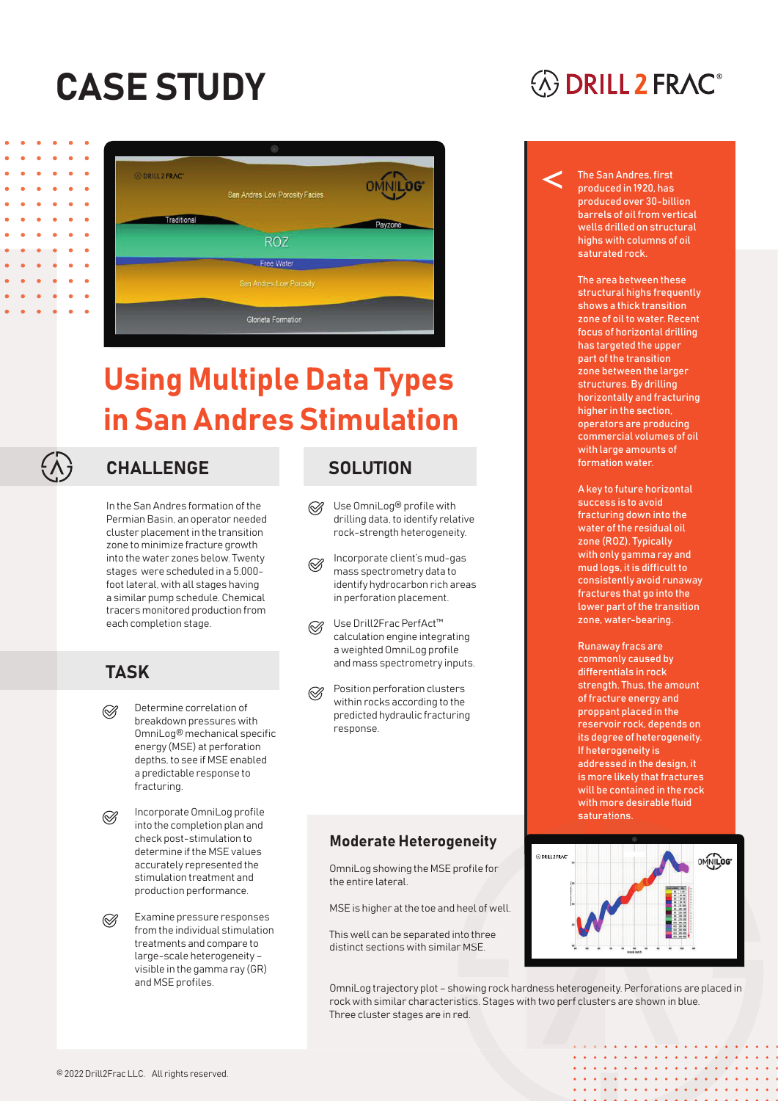# CASE STUDY



## Using Multiple Data Types in San Andres Stimulation



### CHALLENGE SOLUTION

In the San Andres formation of the Permian Basin, an operator needed cluster placement in the transition zone to minimize fracture growth into the water zones below. Twenty stages were scheduled in a 5,000 foot lateral, with all stages having a similar pump schedule. Chemical tracers monitored production from each completion stage.

### **TASK**

- Determine correlation of  $\oslash$ breakdown pressures with OmniLog® mechanical specific energy (MSE) at perforation depths, to see if MSE enabled a predictable response to fracturing.
- Incorporate OmniLog profile  $\oslash$ into the completion plan and check post-stimulation to determine if the MSE values accurately represented the stimulation treatment and production performance.

Examine pressure responses  $\oslash$ from the individual stimulation treatments and compare to large-scale heterogeneity – visible in the gamma ray (GR) and MSE profiles.

- Use OmniLog® profile with  $\otimes$ drilling data, to identify relative rock-strength heterogeneity.
- Incorporate client's mud-gas mass spectrometry data to identify hydrocarbon rich areas in perforation placement.
- Use Drill2Frac PerfAct™  $\otimes$ calculation engine integrating a weighted OmniLog profile and mass spectrometry inputs.
- Position perforation clusters within rocks according to the predicted hydraulic fracturing response.

#### Moderate Heterogeneity

OmniLog showing the MSE profile for the entire lateral.

MSE is higher at the toe and heel of well.

This well can be separated into three distinct sections with similar MSE.

### **EXAMPLE 2 FRAC®**

The San Andres, first produced in 1920, has produced over 30-billion barrels of oil from vertical wells drilled on structural highs with columns of oil saturated rock.

The area between these structural highs frequently shows a thick transition zone of oil to water. Recent focus of horizontal drilling has targeted the upper part of the transition zone between the larger structures. By drilling horizontally and fracturing higher in the section, operators are producing commercial volumes of oil with large amounts of formation water.

A key to future horizontal success is to avoid fracturing down into the water of the residual oil zone (ROZ). Typically with only gamma ray and mud logs, it is difficult to consistently avoid runaway fractures that go into the lower part of the transition zone, water-bearing.

Runaway fracs are commonly caused by differentials in rock strength. Thus, the amount of fracture energy and proppant placed in the reservoir rock, depends on its degree of heterogeneity. If heterogeneity is addressed in the design, it is more likely that fractures will be contained in the rock with more desirable fluid saturations.



. . . . . . . . . . *. . . .* . . . . . . . . . . . . . . . . .

OmniLog trajectory plot – showing rock hardness heterogeneity. Perforations are placed in rock with similar characteristics. Stages with two perf clusters are shown in blue. Three cluster stages are in red.